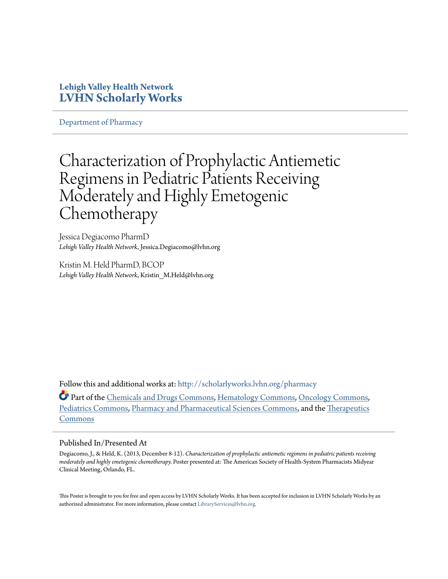### **Lehigh Valley Health Network [LVHN Scholarly Works](http://scholarlyworks.lvhn.org?utm_source=scholarlyworks.lvhn.org%2Fpharmacy%2F34&utm_medium=PDF&utm_campaign=PDFCoverPages)**

[Department of Pharmacy](http://scholarlyworks.lvhn.org/pharmacy?utm_source=scholarlyworks.lvhn.org%2Fpharmacy%2F34&utm_medium=PDF&utm_campaign=PDFCoverPages)

### Characterization of Prophylactic Antiemetic Regimens in Pediatric Patients Receiving Moderately and Highly Emetogenic **Chemotherapy**

Jessica Degiacomo PharmD *Lehigh Valley Health Network*, Jessica.Degiacomo@lvhn.org

Kristin M. Held PharmD, BCOP *Lehigh Valley Health Network*, Kristin\_M.Held@lvhn.org

Follow this and additional works at: [http://scholarlyworks.lvhn.org/pharmacy](http://scholarlyworks.lvhn.org/pharmacy?utm_source=scholarlyworks.lvhn.org%2Fpharmacy%2F34&utm_medium=PDF&utm_campaign=PDFCoverPages)

Part of the [Chemicals and Drugs Commons,](http://network.bepress.com/hgg/discipline/902?utm_source=scholarlyworks.lvhn.org%2Fpharmacy%2F34&utm_medium=PDF&utm_campaign=PDFCoverPages) [Hematology Commons](http://network.bepress.com/hgg/discipline/1059?utm_source=scholarlyworks.lvhn.org%2Fpharmacy%2F34&utm_medium=PDF&utm_campaign=PDFCoverPages), [Oncology Commons](http://network.bepress.com/hgg/discipline/694?utm_source=scholarlyworks.lvhn.org%2Fpharmacy%2F34&utm_medium=PDF&utm_campaign=PDFCoverPages), [Pediatrics Commons](http://network.bepress.com/hgg/discipline/700?utm_source=scholarlyworks.lvhn.org%2Fpharmacy%2F34&utm_medium=PDF&utm_campaign=PDFCoverPages), [Pharmacy and Pharmaceutical Sciences Commons,](http://network.bepress.com/hgg/discipline/731?utm_source=scholarlyworks.lvhn.org%2Fpharmacy%2F34&utm_medium=PDF&utm_campaign=PDFCoverPages) and the [Therapeutics](http://network.bepress.com/hgg/discipline/993?utm_source=scholarlyworks.lvhn.org%2Fpharmacy%2F34&utm_medium=PDF&utm_campaign=PDFCoverPages) [Commons](http://network.bepress.com/hgg/discipline/993?utm_source=scholarlyworks.lvhn.org%2Fpharmacy%2F34&utm_medium=PDF&utm_campaign=PDFCoverPages)

### Published In/Presented At

Degiacomo, J., & Held, K. (2013, December 8-12). *Characterization of prophylactic antiemetic regimens in pediatric patients receiving moderately and highly emetogenic chemotherapy.* Poster presented at: The American Society of Health-System Pharmacists Midyear Clinical Meeting, Orlando, FL.

This Poster is brought to you for free and open access by LVHN Scholarly Works. It has been accepted for inclusion in LVHN Scholarly Works by an authorized administrator. For more information, please contact  $\operatorname{Library}S$ ervices $@$ lvhn.org.